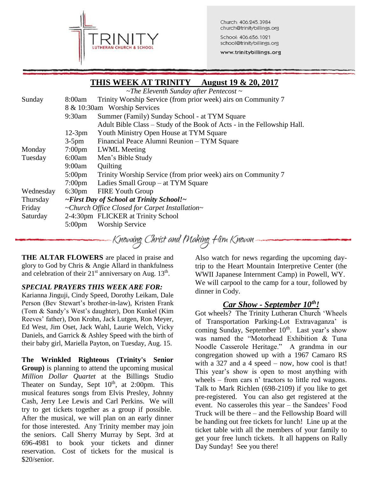

Church: 406.245.3984 church@trinitybillings.org

School: 406.656.1021 school@trinitybillings.org

www.trinitybillings.org

# **THIS WEEK AT TRINITY August 19 & 20, 2017** *~The Eleventh Sunday after Pentecost ~* Sunday 8:00am Trinity Worship Service (from prior week) airs on Community 7 8 & 10:30am Worship Services 9:30am Summer (Family) Sunday School - at TYM Square Adult Bible Class – Study of the Book of Acts - in the Fellowship Hall. 12-3pm Youth Ministry Open House at TYM Square 3-5pm Financial Peace Alumni Reunion – TYM Square Monday 7:00pm LWML Meeting Tuesday 6:00am Men's Bible Study 9:00am Quilting 5:00pm Trinity Worship Service (from prior week) airs on Community 7 7:00pm Ladies Small Group – at TYM Square Wednesday 6:30pm FIRE Youth Group Thursday *~First Day of School at Trinity School!~* Friday *~Church Office Closed for Carpet Installation~* Saturday 2-4:30pm FLICKER at Trinity School 5:00pm Worship Service Knowing Christ and Making Him Known

**THE ALTAR FLOWERS** are placed in praise and glory to God by Chris & Angie Allard in thankfulness and celebration of their  $21<sup>st</sup>$  anniversary on Aug.  $13<sup>th</sup>$ .

### *SPECIAL PRAYERS THIS WEEK ARE FOR:*

Karianna Jinguji, Cindy Speed, Dorothy Leikam, Dale Person (Bev Stewart's brother-in-law), Kristen Frank (Tom & Sandy's West's daughter), Don Kunkel (Kim Reeves' father), Don Krohn, Jack Lutgen, Ron Meyer, Ed West, Jim Oset, Jack Wahl, Laurie Welch, Vicky Daniels, and Garrick & Ashley Speed with the birth of their baby girl, Mariella Payton, on Tuesday, Aug. 15.

**The Wrinkled Righteous (Trinity's Senior Group)** is planning to attend the upcoming musical *Million Dollar Quartet* at the Billings Studio Theater on Sunday, Sept  $10<sup>th</sup>$ , at 2:00pm. This musical features songs from Elvis Presley, Johnny Cash, Jerry Lee Lewis and Carl Perkins. We will try to get tickets together as a group if possible. After the musical, we will plan on an early dinner for those interested. Any Trinity member may join the seniors. Call Sherry Murray by Sept. 3rd at 696-4981 to book your tickets and dinner reservation. Cost of tickets for the musical is \$20/senior.

Also watch for news regarding the upcoming daytrip to the Heart Mountain Interpretive Center (the WWII Japanese Internment Camp) in Powell, WY. We will carpool to the camp for a tour, followed by dinner in Cody.

# *Car Show - September 10th!*

Got wheels? The Trinity Lutheran Church 'Wheels of Transportation Parking-Lot Extravaganza' is coming Sunday, September  $10<sup>th</sup>$ . Last year's show was named the "Motorhead Exhibition & Tuna Noodle Casserole Heritage." A grandma in our congregation showed up with a 1967 Camaro RS with a 327 and a 4 speed – now, how cool is that! This year's show is open to most anything with wheels – from cars n' tractors to little red wagons. Talk to Mark Richlen (698-2109) if you like to get pre-registered. You can also get registered at the event. No casseroles this year – the Sandees' Food Truck will be there – and the Fellowship Board will be handing out free tickets for lunch! Line up at the ticket table with all the members of your family to get your free lunch tickets. It all happens on Rally Day Sunday! See you there!